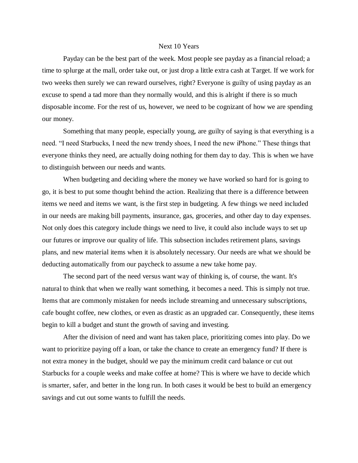## Next 10 Years

Payday can be the best part of the week. Most people see payday as a financial reload; a time to splurge at the mall, order take out, or just drop a little extra cash at Target. If we work for two weeks then surely we can reward ourselves, right? Everyone is guilty of using payday as an excuse to spend a tad more than they normally would, and this is alright if there is so much disposable income. For the rest of us, however, we need to be cognizant of how we are spending our money.

Something that many people, especially young, are guilty of saying is that everything is a need. "I need Starbucks, I need the new trendy shoes, I need the new iPhone." These things that everyone thinks they need, are actually doing nothing for them day to day. This is when we have to distinguish between our needs and wants.

When budgeting and deciding where the money we have worked so hard for is going to go, it is best to put some thought behind the action. Realizing that there is a difference between items we need and items we want, is the first step in budgeting. A few things we need included in our needs are making bill payments, insurance, gas, groceries, and other day to day expenses. Not only does this category include things we need to live, it could also include ways to set up our futures or improve our quality of life. This subsection includes retirement plans, savings plans, and new material items when it is absolutely necessary. Our needs are what we should be deducting automatically from our paycheck to assume a new take home pay.

The second part of the need versus want way of thinking is, of course, the want. It's natural to think that when we really want something, it becomes a need. This is simply not true. Items that are commonly mistaken for needs include streaming and unnecessary subscriptions, cafe bought coffee, new clothes, or even as drastic as an upgraded car. Consequently, these items begin to kill a budget and stunt the growth of saving and investing.

After the division of need and want has taken place, prioritizing comes into play. Do we want to prioritize paying off a loan, or take the chance to create an emergency fund? If there is not extra money in the budget, should we pay the minimum credit card balance or cut out Starbucks for a couple weeks and make coffee at home? This is where we have to decide which is smarter, safer, and better in the long run. In both cases it would be best to build an emergency savings and cut out some wants to fulfill the needs.